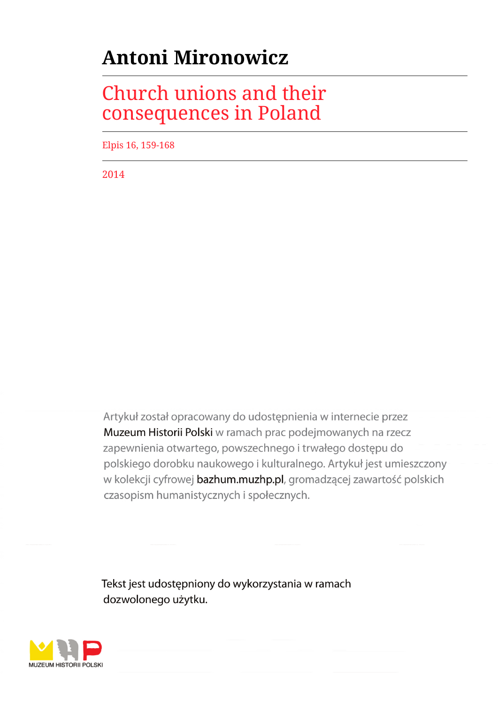## **Antoni Mironowicz**

## Church unions and their consequences in Poland

Elpis 16, 159-168

2014

Artykuł został opracowany do udostępnienia w internecie przez Muzeum Historii Polski w ramach prac podejmowanych na rzecz zapewnienia otwartego, powszechnego i trwałego dostępu do polskiego dorobku naukowego i kulturalnego. Artykuł jest umieszczony w kolekcji cyfrowej bazhum.muzhp.pl, gromadzącej zawartość polskich czasopism humanistycznych i społecznych.

Tekst jest udostępniony do wykorzystania w ramach dozwolonego użytku.

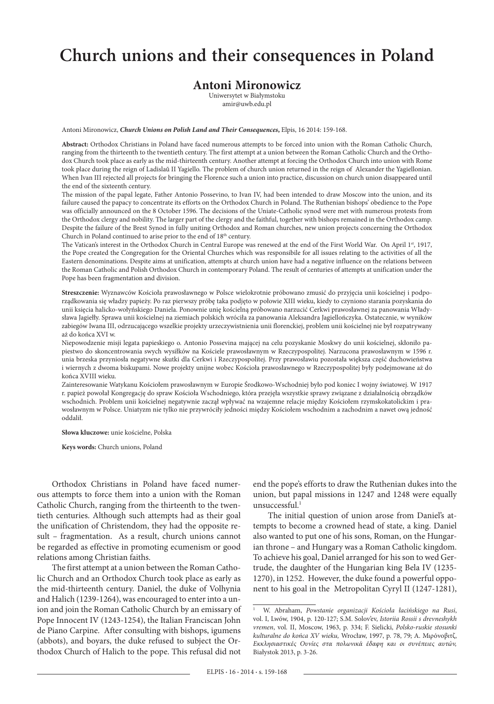## **Church unions and their consequences in Poland**

## **Antoni Mironowicz**

Uniwersytet w Białymstoku amir@uwb.edu.pl

Antoni Mironowicz, *Church Unions on Polish Land and Their Consequences***,** Elpis, 16 2014: 159-168.

**Abstract:** Orthodox Christians in Poland have faced numerous attempts to be forced into union with the Roman Catholic Church, ranging from the thirteenth to the twentieth century. The first attempt at a union between the Roman Catholic Church and the Orthodox Church took place as early as the mid-thirteenth century. Another attempt at forcing the Orthodox Church into union with Rome took place during the reign of Ladislaŭ II Yagiello. The problem of church union returned in the reign of Alexander the Yagiellonian. When Ivan III rejected all projects for bringing the Florence such a union into practice, discussion on church union disappeared until the end of the sixteenth century.

The mission of the papal legate, Father Antonio Possevino, to Ivan IV, had been intended to draw Moscow into the union, and its failure caused the papacy to concentrate its efforts on the Orthodox Church in Poland. The Ruthenian bishops' obedience to the Pope was officially announced on the 8 October 1596. The decisions of the Uniate-Catholic synod were met with numerous protests from the Orthodox clergy and nobility. The larger part of the clergy and the faithful, together with bishops remained in the Orthodox camp. Despite the failure of the Brest Synod in fully uniting Orthodox and Roman churches, new union projects concerning the Orthodox Church in Poland continued to arise prior to the end of 18<sup>th</sup> century.

The Vatican's interest in the Orthodox Church in Central Europe was renewed at the end of the First World War. On April 1st, 1917, the Pope created the Congregation for the Oriental Churches which was responsibile for all issues relating to the activities of all the Eastern denominations. Despite aims at unification, attempts at church union have had a negative influence on the relations between the Roman Catholic and Polish Orthodox Church in contemporary Poland. The result of centuries of attempts at unification under the Pope has been fragmentation and division.

**Streszczenie:** Wyznawców Kościoła prawosławnego w Polsce wielokrotnie próbowano zmusić do przyjęcia unii kościelnej i podporządkowania się władzy papieży. Po raz pierwszy próbę taka podjęto w połowie XIII wieku, kiedy to czyniono starania pozyskania do unii księcia halicko-wołyńskiego Daniela. Ponownie unię kościelną próbowano narzucić Cerkwi prawosławnej za panowania Władysława Jagiełły. Sprawa unii kościelnej na ziemiach polskich wróciła za panowania Aleksandra Jagiellończyka. Ostatecznie, w wyników zabiegów Iwana III, odrzucającego wszelkie projekty urzeczywistnienia unii florenckiej, problem unii kościelnej nie był rozpatrywany aż do końca XVI w.

Niepowodzenie misji legata papieskiego o. Antonio Possevina mającej na celu pozyskanie Moskwy do unii kościelnej, skłoniło papiestwo do skoncentrowania swych wysiłków na Kościele prawosławnym w Rzeczypospolitej. Narzucona prawosławnym w 1596 r. unia brzeska przyniosła negatywne skutki dla Cerkwi i Rzeczypospolitej. Przy prawosławiu pozostała większa część duchowieństwa i wiernych z dwoma biskupami. Nowe projekty unijne wobec Kościoła prawosławnego w Rzeczypospolitej były podejmowane aż do końca XVIII wieku.

Zainteresowanie Watykanu Kościołem prawosławnym w Europie Środkowo-Wschodniej było pod koniec I wojny światowej. W 1917 r. papież powołał Kongregację do spraw Kościoła Wschodniego, która przejęła wszystkie sprawy związane z działalnością obrządków wschodnich. Problem unii kościelnej negatywnie zaczął wpływać na wzajemne relacje między Kościołem rzymskokatolickim i prawosławnym w Polsce. Uniatyzm nie tylko nie przywróciły jedności między Kościołem wschodnim a zachodnim a nawet ową jedność oddalił.

**Słowa kluczowe:** unie kościelne, Polska

**Keys words:** Church unions, Poland

Orthodox Christians in Poland have faced numerous attempts to force them into a union with the Roman Catholic Church, ranging from the thirteenth to the twentieth centuries. Although such attempts had as their goal the unification of Christendom, they had the opposite result – fragmentation. As a result, church unions cannot be regarded as effective in promoting ecumenism or good relations among Christian faiths.

The first attempt at a union between the Roman Catholic Church and an Orthodox Church took place as early as the mid-thirteenth century. Daniel, the duke of Volhynia and Halich (1239-1264), was encouraged to enter into a union and join the Roman Catholic Church by an emissary of Pope Innocent IV (1243-1254), the Italian Franciscan John de Piano Carpine. After consulting with bishops, igumens (abbots), and boyars, the duke refused to subject the Orthodox Church of Halich to the pope. This refusal did not

end the pope's efforts to draw the Ruthenian dukes into the union, but papal missions in 1247 and 1248 were equally unsuccessful.1

The initial question of union arose from Daniel's attempts to become a crowned head of state, a king. Daniel also wanted to put one of his sons, Roman, on the Hungarian throne – and Hungary was a Roman Catholic kingdom. To achieve his goal, Daniel arranged for his son to wed Gertrude, the daughter of the Hungarian king Bela IV (1235- 1270), in 1252. However, the duke found a powerful opponent to his goal in the Metropolitan Cyryl II (1247-1281),

<sup>1</sup> W. Abraham, *Powstanie organizacji Kościoła łacińskiego na Rusi*, vol. I, Lwów, 1904, p. 120-127; S.M. Solov'ev, *Istoriia Rossii s drevneshykh vremen*, vol. II, Moscow, 1963, p. 334; F. Sielicki, *Polsko-ruskie stosunki kulturalne do końca XV wieku,* Wrocław, 1997, p. 78, 79; Α. Μιρόνοβιτζ, *Εκκλησιαστικές Oυνίες στα πολωνικά έδαφη και οι συνέπειες αυτών,*  Białystok 2013, p. 3-26.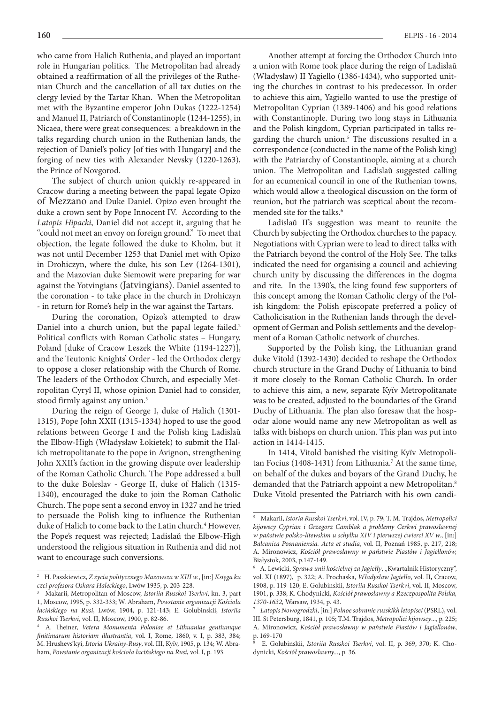who came from Halich Ruthenia, and played an important role in Hungarian politics. The Metropolitan had already obtained a reaffirmation of all the privileges of the Ruthenian Church and the cancellation of all tax duties on the clergy levied by the Tartar Khan. When the Metropolitan met with the Byzantine emperor John Dukas (1222-1254) and Manuel II, Patriarch of Constantinople (1244-1255), in Nicaea, there were great consequences: a breakdown in the talks regarding church union in the Ruthenian lands, the rejection of Daniel's policy [of ties with Hungary] and the forging of new ties with Alexander Nevsky (1220-1263), the Prince of Novgorod.

The subject of church union quickly re-appeared in Cracow during a meeting between the papal legate Opizo of Mezzano and Duke Daniel. Opizo even brought the duke a crown sent by Pope Innocent IV. According to the *Latopis Hipacki*, Daniel did not accept it, arguing that he "could not meet an envoy on foreign ground." To meet that objection, the legate followed the duke to Kholm, but it was not until December 1253 that Daniel met with Opizo in Drohiczyn, where the duke, his son Lev (1264-1301), and the Mazovian duke Siemowit were preparing for war against the Yotvingians (Jatvingians). Daniel assented to the coronation - to take place in the church in Drohiczyn - in return for Rome's help in the war against the Tartars.

During the coronation, Opizo's attempted to draw Daniel into a church union, but the papal legate failed.<sup>2</sup> Political conflicts with Roman Catholic states – Hungary, Poland [duke of Cracow Leszek the White (1194-1227)], and the Teutonic Knights' Order - led the Orthodox clergy to oppose a closer relationship with the Church of Rome. The leaders of the Orthodox Church, and especially Metropolitan Cyryl II, whose opinion Daniel had to consider, stood firmly against any union.<sup>3</sup>

During the reign of George I, duke of Halich (1301- 1315), Pope John XXII (1315-1334) hoped to use the good relations between George I and the Polish king Ladislaŭ the Elbow-High (Władysław Łokietek) to submit the Halich metropolitanate to the pope in Avignon, strengthening John XXII's faction in the growing dispute over leadership of the Roman Catholic Church. The Pope addressed a bull to the duke Boleslav - George II, duke of Halich (1315- 1340), encouraged the duke to join the Roman Catholic Church. The pope sent a second envoy in 1327 and he tried to persuade the Polish king to influence the Ruthenian duke of Halich to come back to the Latin church.<sup>4</sup> However, the Pope's request was rejected; Ladislaŭ the Elbow-High understood the religious situation in Ruthenia and did not want to encourage such conversions.

Another attempt at forcing the Orthodox Church into a union with Rome took place during the reign of Ladislaŭ (Władysław) II Yagiello (1386-1434), who supported uniting the churches in contrast to his predecessor. In order to achieve this aim, Yagiello wanted to use the prestige of Metropolitan Cyprian (1389-1406) and his good relations with Constantinople. During two long stays in Lithuania and the Polish kingdom, Cyprian participated in talks regarding the church union.<sup>5</sup> The discussions resulted in a correspondence (conducted in the name of the Polish king) with the Patriarchy of Constantinople, aiming at a church union. The Metropolitan and Ladislaŭ suggested calling for an ecumenical council in one of the Ruthenian towns, which would allow a theological discussion on the form of reunion, but the patriarch was sceptical about the recommended site for the talks.<sup>6</sup>

Ladislaŭ II's suggestion was meant to reunite the Church by subjecting the Orthodox churches to the papacy. Negotiations with Cyprian were to lead to direct talks with the Patriarch beyond the control of the Holy See. The talks indicated the need for organising a council and achieving church unity by discussing the differences in the dogma and rite. In the 1390's, the king found few supporters of this concept among the Roman Catholic clergy of the Polish kingdom: the Polish episcopate preferred a policy of Catholicisation in the Ruthenian lands through the development of German and Polish settlements and the development of a Roman Catholic network of churches.

Supported by the Polish king, the Lithuanian grand duke Vitold (1392-1430) decided to reshape the Orthodox church structure in the Grand Duchy of Lithuania to bind it more closely to the Roman Catholic Church. In order to achieve this aim, a new, separate Kyïv Metropolitanate was to be created, adjusted to the boundaries of the Grand Duchy of Lithuania. The plan also foresaw that the hospodar alone would name any new Metropolitan as well as talks with bishops on church union. This plan was put into action in 1414-1415.

In 1414, Vitold banished the visiting Kyïv Metropolitan Focius (1408-1431) from Lithuania.<sup>7</sup> At the same time, on behalf of the dukes and boyars of the Grand Duchy, he demanded that the Patriarch appoint a new Metropolitan.<sup>8</sup> Duke Vitold presented the Patriarch with his own candi-

<sup>2</sup> H. Paszkiewicz, *Z życia politycznego Mazowsza w XIII w.*, [in:] *Księga ku czci profesora Oskara Haleckiego*, Lwów 1935, p. 203-228.

<sup>3</sup> Makarii, Metropolitan of Moscow, *Istoriia Russkoi Tserkvi*, kn. 3, part 1, Moscow, 1995, p. 332-333; W. Abraham, *Powstanie organizacji Kościoła łacińskiego na Rusi*, Lwów, 1904, p. 121-143; E. Golubinskii, *Istoriia Russkoi Tserkvi*, vol. II, Moscow, 1900, p. 82-86.

<sup>4</sup> A. Theiner, *Vetera Monumenta Poloniae et Lithuaniae gentiumque finitimarum historiam illustrantia*, vol. I, Rome, 1860, v. I, p. 383, 384; M. Hrushevs'kyi, *Istoria Ukrainy-Rusy*, vol. III, Kyïv, 1905, p. 134; W. Abraham, *Powstanie organizacji kościoła łacińskiego na Rusi*, vol. I, p. 193.

<sup>5</sup> Makarii, *Istoria Russkoi Tserkvi*, vol. IV, p. 79; T. M. Trajdos, *Metropolici kijowscy Cyprian i Grzegorz Camblak a problemy Cerkwi prawosławnej w państwie polsko-litewskim u schyłku XIV i pierwszej ćwierci XV w.*, [in:] *Balcanica Posnaniensia. Acta et studia*, vol. II, Poznań 1985, p. 217, 218; A. Mironowicz, *Kościół prawosławny w państwie Piastów i Jagiellonów,* Białystok, 2003, p.147-149.

<sup>6</sup> A. Lewicki, *Sprawa unii kościelnej za Jagiełły*, "Kwartalnik Historyczny", vol. XI (1897), p. 322; A. Prochaska, *Władysław Jagiełło*, vol. II**,** Cracow, 1908, p. 119-120; E. Golubinskii, *Istoriia Russkoi Tserkvi*, vol. II, Moscow, 1901, p. 338; K. Chodynicki, *Kościół prawosławny a Rzeczpospolita Polska, 1370-1632,* Warsaw, 1934, p. 43.

<sup>7</sup> *Latopis Nowogrodzki*, [in:] *Polnoe sobranie russkikh letopisei* (PSRL), vol. III. St Petersburg, 1841, p. 105; T.M. Trajdos, *Metropolici kijowscy*..., p. 225; A. Mironowicz, *Kościół prawosławny w państwie Piastów i Jagiellonów*, p.  $169-170$ 

<sup>8</sup> E. Golubinskii, *Istoriia Russkoi Tserkvi*, vol. II, p. 369, 370; K. Chodynicki, *Kościół prawosławny...*, p. 36.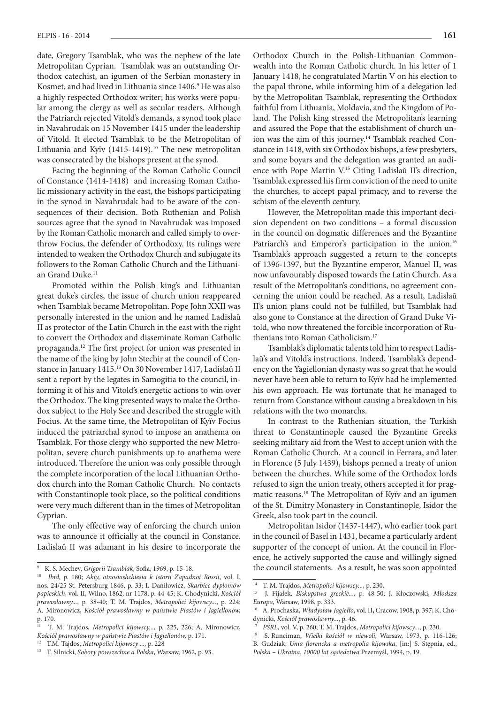date, Gregory Tsamblak, who was the nephew of the late Metropolitan Cyprian. Tsamblak was an outstanding Orthodox catechist, an igumen of the Serbian monastery in Kosmet, and had lived in Lithuania since 1406.<sup>9</sup> He was also a highly respected Orthodox writer; his works were popular among the clergy as well as secular readers. Although the Patriarch rejected Vitold's demands, a synod took place in Navahrudak on 15 November 1415 under the leadership of Vitold. It elected Tsamblak to be the Metropolitan of Lithuania and Kyïv  $(1415-1419).$ <sup>10</sup> The new metropolitan was consecrated by the bishops present at the synod.

Facing the beginning of the Roman Catholic Council of Constance (1414-1418) and increasing Roman Catholic missionary activity in the east, the bishops participating in the synod in Navahrudak had to be aware of the consequences of their decision. Both Ruthenian and Polish sources agree that the synod in Navahrudak was imposed by the Roman Catholic monarch and called simply to overthrow Focius, the defender of Orthodoxy. Its rulings were intended to weaken the Orthodox Church and subjugate its followers to the Roman Catholic Church and the Lithuanian Grand Duke.<sup>11</sup>

Promoted within the Polish king's and Lithuanian great duke's circles, the issue of church union reappeared when Tsamblak became Metropolitan. Pope John XXII was personally interested in the union and he named Ladislaŭ II as protector of the Latin Church in the east with the right to convert the Orthodox and disseminate Roman Catholic propaganda.12 The first project for union was presented in the name of the king by John Stechir at the council of Constance in January 1415.13 On 30 November 1417, Ladislaŭ II sent a report by the legates in Samogitia to the council, informing it of his and Vitold's energetic actions to win over the Orthodox. The king presented ways to make the Orthodox subject to the Holy See and described the struggle with Focius. At the same time, the Metropolitan of Kyïv Focius induced the patriarchal synod to impose an anathema on Tsamblak. For those clergy who supported the new Metropolitan, severe church punishments up to anathema were introduced. Therefore the union was only possible through the complete incorporation of the local Lithuanian Orthodox church into the Roman Catholic Church. No contacts with Constantinople took place, so the political conditions were very much different than in the times of Metropolitan Cyprian.

The only effective way of enforcing the church union was to announce it officially at the council in Constance. Ladislaŭ II was adamant in his desire to incorporate the

Orthodox Church in the Polish-Lithuanian Commonwealth into the Roman Catholic church. In his letter of 1 January 1418, he congratulated Martin V on his election to the papal throne, while informing him of a delegation led by the Metropolitan Tsamblak, representing the Orthodox faithful from Lithuania, Moldavia, and the Kingdom of Poland. The Polish king stressed the Metropolitan's learning and assured the Pope that the establishment of church union was the aim of this journey.14 Tsamblak reached Constance in 1418, with six Orthodox bishops, a few presbyters, and some boyars and the delegation was granted an audience with Pope Martin V.15 Citing Ladislaŭ II's direction, Tsamblak expressed his firm conviction of the need to unite the churches, to accept papal primacy, and to reverse the schism of the eleventh century.

However, the Metropolitan made this important decision dependent on two conditions – a formal discussion in the council on dogmatic differences and the Byzantine Patriarch's and Emperor's participation in the union.<sup>16</sup> Tsamblak's approach suggested a return to the concepts of 1396-1397, but the Byzantine emperor, Manuel II, was now unfavourably disposed towards the Latin Church. As a result of the Metropolitan's conditions, no agreement concerning the union could be reached. As a result, Ladislaŭ II's union plans could not be fulfilled, but Tsamblak had also gone to Constance at the direction of Grand Duke Vitold, who now threatened the forcible incorporation of Ruthenians into Roman Catholicism.17

Tsamblak's diplomatic talents told him to respect Ladislaŭ's and Vitold's instructions. Indeed, Tsamblak's dependency on the Yagiellonian dynasty was so great that he would never have been able to return to Kyïv had he implemented his own approach. He was fortunate that he managed to return from Constance without causing a breakdown in his relations with the two monarchs.

In contrast to the Ruthenian situation, the Turkish threat to Constantinople caused the Byzantine Greeks seeking military aid from the West to accept union with the Roman Catholic Church. At a council in Ferrara, and later in Florence (5 July 1439), bishops penned a treaty of union between the churches. While some of the Orthodox lords refused to sign the union treaty, others accepted it for pragmatic reasons.<sup>18</sup> The Metropolitan of Kyïv and an igumen of the St. Dimitry Monastery in Constantinople, Isidor the Greek, also took part in the council.

Metropolitan Isidor (1437-1447), who earlier took part in the council of Basel in 1431, became a particularly ardent supporter of the concept of union. At the council in Florence, he actively supported the cause and willingly signed the council statements. As a result, he was soon appointed

<sup>9</sup> K. S. Mechev, *Grigorii Tsamblak*, Sofia, 1969, p. 15-18.

<sup>10</sup> *Ibid*, p. 180; *Akty, otnosiashchiesia k istorii Zapadnoi Rossii*, vol. I, nos. 24/25 St. Petersburg 1846, p. 33; I. Daniłowicz, *Skarbiec dyplomów papieskich*, vol. II, Wilno, 1862, nr 1178, p. 44-45; K. Chodynicki, *Kościół prawosławny...*, p. 38-40; T. M. Trajdos, *Metropolici kijowscy...*, p. 224; A. Mironowicz, *Kościół prawosławny w państwie Piastów i Jagiellonów,* p. 170.

<sup>11</sup> T. M. Trajdos, *Metropolici kijowscy...*, p. 225, 226; A. Mironowicz, *Kościół prawosławny w państwie Piastów i Jagiellonów,* p. 171.

<sup>12</sup> T.M. Tajdos, *Metropolici kijowscy ...,* p. 228

<sup>13</sup> T. Silnicki, *Sobory powszechne a Polska*, Warsaw, 1962, p. 93.

<sup>14</sup> T. M. Trajdos, *Metropolici kijowscy...*, p. 230.

<sup>15</sup> J. Fijałek, *Biskupstwa greckie..*., p. 48-50; J. Kłoczowski, *Młodsza Europa*, Warsaw, 1998, p. 333.

<sup>16</sup> A. Prochaska, *Władysław Jagiełło*, vol. II**,** Cracow, 1908, p. 397; K. Chodynicki, *Kościół prawosławny...*, p. 46.

<sup>17</sup> *PSRL*, vol. V, p. 260; T. M. Trajdos, *Metropolici kijowscy...*, p. 230.

<sup>18</sup> S. Runciman, *Wielki kościół w niewoli*, Warsaw, 1973, p. 116-126;

B. Gudziak, *Unia florencka a metropolia kijowska*, [in:] S. Stępnia, ed., *Polska – Ukraina. 10000 lat sąsiedztwa* Przemyśl, 1994, p. 19.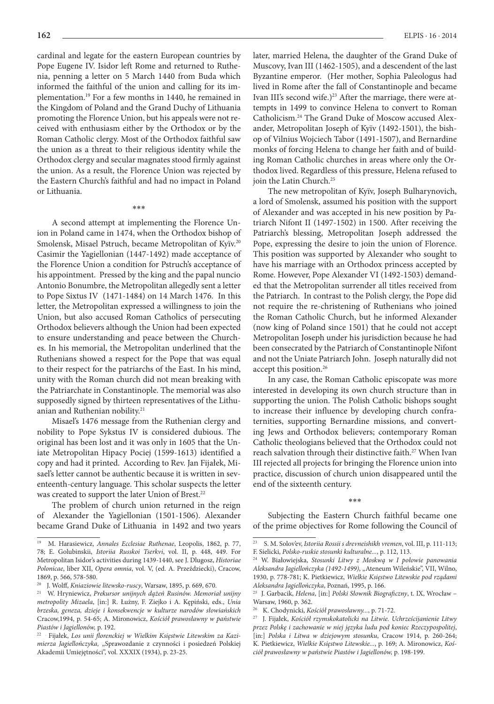cardinal and legate for the eastern European countries by Pope Eugene IV. Isidor left Rome and returned to Ruthenia, penning a letter on 5 March 1440 from Buda which informed the faithful of the union and calling for its implementation.19 For a few months in 1440, he remained in the Kingdom of Poland and the Grand Duchy of Lithuania promoting the Florence Union, but his appeals were not received with enthusiasm either by the Orthodox or by the Roman Catholic clergy. Most of the Orthodox faithful saw the union as a threat to their religious identity while the Orthodox clergy and secular magnates stood firmly against the union. As a result, the Florence Union was rejected by the Eastern Church's faithful and had no impact in Poland or Lithuania.

\*\*\*

A second attempt at implementing the Florence Union in Poland came in 1474, when the Orthodox bishop of Smolensk, Misael Pstruch, became Metropolitan of Kyïv.20 Casimir the Yagiellonian (1447-1492) made acceptance of the Florence Union a condition for Pstruch's acceptance of his appointment. Pressed by the king and the papal nuncio Antonio Bonumbre, the Metropolitan allegedly sent a letter to Pope Sixtus IV (1471-1484) on 14 March 1476. In this letter, the Metropolitan expressed a willingness to join the Union, but also accused Roman Catholics of persecuting Orthodox believers although the Union had been expected to ensure understanding and peace between the Churches. In his memorial, the Metropolitan underlined that the Ruthenians showed a respect for the Pope that was equal to their respect for the patriarchs of the East. In his mind, unity with the Roman church did not mean breaking with the Patriarchate in Constantinople. The memorial was also supposedly signed by thirteen representatives of the Lithuanian and Ruthenian nobility.<sup>21</sup>

Misael's 1476 message from the Ruthenian clergy and nobility to Pope Sykstus IV is considered dubious. The original has been lost and it was only in 1605 that the Uniate Metropolitan Hipacy Pociej (1599-1613) identified a copy and had it printed. According to Rev. Jan Fijałek, Misael's letter cannot be authentic because it is written in seventeenth-century language. This scholar suspects the letter was created to support the later Union of Brest.<sup>22</sup>

The problem of church union returned in the reign of Alexander the Yagiellonian (1501-1506). Alexander became Grand Duke of Lithuania in 1492 and two years later, married Helena, the daughter of the Grand Duke of Muscovy, Ivan III (1462-1505), and a descendent of the last Byzantine emperor. (Her mother, Sophia Paleologus had lived in Rome after the fall of Constantinople and became Ivan III's second wife.)<sup>23</sup> After the marriage, there were attempts in 1499 to convince Helena to convert to Roman Catholicism.24 The Grand Duke of Moscow accused Alexander, Metropolitan Joseph of Kyïv (1492-1501), the bishop of Vilnius Wojciech Tabor (1491-1507), and Bernardine monks of forcing Helena to change her faith and of building Roman Catholic churches in areas where only the Orthodox lived. Regardless of this pressure, Helena refused to join the Latin Church.<sup>25</sup>

The new metropolitan of Kyïv, Joseph Bulharynovich, a lord of Smolensk, assumed his position with the support of Alexander and was accepted in his new position by Patriarch Nifont II (1497-1502) in 1500. After receiving the Patriarch's blessing, Metropolitan Joseph addressed the Pope, expressing the desire to join the union of Florence. This position was supported by Alexander who sought to have his marriage with an Orthodox princess accepted by Rome. However, Pope Alexander VI (1492-1503) demanded that the Metropolitan surrender all titles received from the Patriarch. In contrast to the Polish clergy, the Pope did not require the re-christening of Ruthenians who joined the Roman Catholic Church, but he informed Alexander (now king of Poland since 1501) that he could not accept Metropolitan Joseph under his jurisdiction because he had been consecrated by the Patriarch of Constantinople Nifont and not the Uniate Patriarch John. Joseph naturally did not accept this position.<sup>26</sup>

In any case, the Roman Catholic episcopate was more interested in developing its own church structure than in supporting the union. The Polish Catholic bishops sought to increase their influence by developing church confraternities, supporting Bernardine missions, and converting Jews and Orthodox believers; contemporary Roman Catholic theologians believed that the Orthodox could not reach salvation through their distinctive faith.<sup>27</sup> When Ivan III rejected all projects for bringing the Florence union into practice, discussion of church union disappeared until the end of the sixteenth century.

\*\*\*

Subjecting the Eastern Church faithful became one of the prime objectives for Rome following the Council of

<sup>19</sup> M. Harasiewicz, *Annales Ecclesiae Ruthenae*, Leopolis, 1862, p. 77, 78; E. Golubinskii, *Istoriia Russkoi Tserkvi*, vol. II, p. 448, 449. For Metropolitan Isidor's activities during 1439-1440, see J. Dlugosz, *Historiae Polonicae*, liber XII, *Opera omnia*, vol. V, (ed. A. Przeździecki), Cracow, 1869, p. 566, 578-580.

<sup>20</sup> J. Wolff, *Kniaziowie litewsko-ruscy*, Warsaw, 1895, p. 669, 670.

<sup>21</sup> W. Hryniewicz, *Prekursor unijnych dążeń Rusinów. Memoriał unijny metropolity Mizaela*, [in:] R. Łużny, F. Ziejko i A. Kępiński, eds., *Unia brzeska, geneza, dzieje i konsekwencje w kulturze narodów słowiańskich* Cracow,1994, p. 54-65; A. Mironowicz, *Kościół prawosławny w państwie Piastów i Jagiellonów,* p. 192.

<sup>22</sup> . Fijałek, *Los unii florenckiej w Wielkim Księstwie Litewskim za Kazimierza Jagiellończyka,* "Sprawozdanie z czynności i posiedzeń Polskiej Akademii Umiejętności", vol. XXXIX (1934), p. 23-25.

<sup>23</sup> S. M. Solov'ev, *Istoriia Rossii s drevneishikh vremen*, vol. III, p. 111-113; F. Sielicki, *Polsko-ruskie stosunki kulturalne...*, p. 112, 113.

<sup>24</sup> W. Białowiejska, *Stosunki Litwy z Moskwą w I połowie panowania Aleksandra Jagiellończyka (1492-1499)*, "Ateneum Wileńskie", VII, Wilno, 1930, p. 778-781; K. Pietkiewicz, *Wielkie Księstwo Litewskie pod rządami Aleksandra Jagiellończyka*, Poznań, 1995, p. 166.

<sup>25</sup> J. Garbacik, *Helena*, [in:] *Polski Słownik Biograficzny*, t. IX, Wrocław – Warsaw, 1960, p. 362.

<sup>26</sup> K. Chodynicki, *Kościół prawosławny...*, p. 71-72.

<sup>27</sup> J. Fijałek, *Kościół rzymskokatolicki na Litwie. Uchrześcijanienie Litwy przez Polskę i zachowanie w niej języka ludu pod koniec Rzeczypospolitej*, [in:] *Polska i Litwa w dziejowym stosunku*, Cracow 1914, p. 260-264; K. Pietkiewicz, *Wielkie Księstwo Litewskie...*, p. 169; A. Mironowicz, *Kościół prawosławny w państwie Piastów i Jagiellonów,* p. 198-199.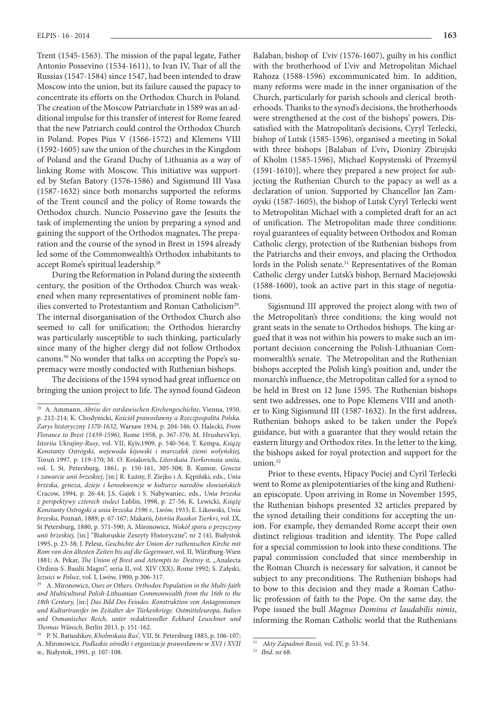Trent (1545-1563). The mission of the papal legate, Father Antonio Possevino (1534-1611), to Ivan IV, Tsar of all the Russias (1547-1584) since 1547, had been intended to draw Moscow into the union, but its failure caused the papacy to concentrate its efforts on the Orthodox Church in Poland. The creation of the Moscow Patriarchate in 1589 was an additional impulse for this transfer of interest for Rome feared that the new Patriarch could control the Orthodox Church in Poland. Popes Pius V (1566-1572) and Klemens VIII (1592-1605) saw the union of the churches in the Kingdom of Poland and the Grand Duchy of Lithuania as a way of linking Rome with Moscow. This initiative was supported by Stefan Batory (1576-1586) and Sigismund III Vasa (1587-1632) since both monarchs supported the reforms of the Trent council and the policy of Rome towards the Orthodox church. Nuncio Possevino gave the Jesuits the task of implementing the union by preparing a synod and gaining the support of the Orthodox magnates**.** The preparation and the course of the synod in Brest in 1594 already led some of the Commonwealth's Orthodox inhabitants to accept Rome's spiritual leadership.28

During the Reformation in Poland during the sixteenth century, the position of the Orthodox Church was weakened when many representatives of prominent noble families converted to Protestantism and Roman Catholicism<sup>29</sup>. The internal disorganisation of the Orthodox Church also seemed to call for unification; the Orthodox hierarchy was particularly susceptible to such thinking, particularly since many of the higher clergy did not follow Orthodox canons.30 No wonder that talks on accepting the Pope's supremacy were mostly conducted with Ruthenian bishops.

The decisions of the 1594 synod had great influence on bringing the union project to life. The synod found Gideon

Balaban, bishop of L'viv (1576-1607), guilty in his conflict with the brotherhood of L'viv and Metropolitan Michael Rahoza (1588-1596) excommunicated him. In addition, many reforms were made in the inner organisation of the Church, particularly for parish schools and clerical brotherhoods. Thanks to the synod's decisions, the brotherhoods were strengthened at the cost of the bishops' powers. Dissatisfied with the Matropolitan's decisions, Cyryl Terlecki, bishop of Lutsk (1585-1596), organised a meeting in Sokal with three bishops [Balaban of L'viv**,** Dionizy Zbirujski of Kholm (1585-1596), Michael Kopystenski of Przemyśl (1591-1610)], where they prepared a new project for subjecting the Ruthenian Church to the papacy as well as a declaration of union. Supported by Chancellor Jan Zamoyski (1587-1605), the bishop of Lutsk Cyryl Terlecki went to Metropolitan Michael with a completed draft for an act of unification. The Metropolitan made three conditions: royal guarantees of equality between Orthodox and Roman Catholic clergy, protection of the Ruthenian bishops from the Patriarchs and their envoys, and placing the Orthodox lords in the Polish senate.<sup>31</sup> Representatives of the Roman Catholic clergy under Lutsk's bishop, Bernard Maciejowski (1588-1600), took an active part in this stage of negotiations.

Sigismund III approved the project along with two of the Metropolitan's three conditions; the king would not grant seats in the senate to Orthodox bishops. The king argued that it was not within his powers to make such an important decision concerning the Polish-Lithuanian Commonwealth's senate. The Metropolitan and the Ruthenian bishops accepted the Polish king's position and, under the monarch's influence, the Metropolitan called for a synod to be held in Brest on 12 June 1595. The Ruthenian bishops sent two addresses, one to Pope Klemens VIII and another to King Sigismund III (1587-1632). In the first address, Ruthenian bishops asked to be taken under the Pope's guidance, but with a guarantee that they would retain the eastern liturgy and Orthodox rites. In the letter to the king, the bishops asked for royal protection and support for the union.<sup>32</sup>

Prior to these events, Hipacy Pociej and Cyril Terlecki went to Rome as plenipotentiaries of the king and Ruthenian episcopate. Upon arriving in Rome in November 1595, the Ruthenian bishops presented 32 articles prepared by the synod detailing their conditions for accepting the union. For example, they demanded Rome accept their own distinct religious tradition and identity. The Pope called for a special commission to look into these conditions. The papal commission concluded that since membership in the Roman Church is necessary for salvation, it cannot be subject to any preconditions. The Ruthenian bishops had to bow to this decision and they made a Roman Catholic profession of faith to the Pope. On the same day, the Pope issued the bull *Magnus Dominu et laudabilis nimis*, informing the Roman Catholic world that the Ruthenians

<sup>28</sup> A. Ammann, *Abriss der ostslawischen Kirchengeschichte*, Vienna, 1950, p. 212-214; K. Chodynicki, *Kościół prawosławny a Rzeczpospolita Polska. Zarys historyczny 1370-1632*, Warsaw 1934, p. 204-346; O. Halecki, *From Florance to Brest (1439-1596),* Rome 1958, p. 367-370; M. Hrushevs'kyi, *Istoriia Ukrajiny-Rusy*, vol. VII, Kyïv,1909, p. 540-564; T. Kempa, *Książę Konstanty Ostrogski, wojewoda kijowski i marszałek ziemi wołyńskiej,*  Toruń 1997, p. 119-170; M. O. Koialovich, *Litovskaia Tserkovnaia uniia*, vol. I, St. Petersburg, 1861, p. 150-161, 305-308; B. Kumor, *Geneza i zawarcie unii brzeskiej*, [in:] R. Łużny, F. Ziejko i A. Kępiński, eds., *Unia brzeska, geneza, dzieje i konsekwencje w kulturze narodów słowiańskich* Cracow, 1994, p. 26-44; J.S. Gajek i S. Nabywaniec, eds., *Unia brzeska z perspektywy czterech stuleci* Lublin, 1998, p. 27-56; K. Lewicki, *Książę Konstanty Ostrogski a unia brzeska 1596 r.,* Lwów, 1933; E. Likowski, *Unia brzeska*, Poznań, 1889, p. 67-167; Makarii, *Istoriia Russkoi Tserkvi*, vol. IX, St Petersburg, 1880, p. 571-590; A. Mironowicz, *Wokół sporu o przyczyny unii brzeskiej,* [in:] "Białoruskie Zeszyty Historyczne", nr 2 (4), Białystok 1995, p. 23-38; J. Pelesz, *Geschichte der Union der ruthenischen Kirche mit Rom von den ältesten Zeiten bis auf die Gegenwart*, vol. II, Würzburg-Wien 1881; A. Pekar, *The Union of Brest and Attempts to Destroy it*, "Analecta Ordinis S. Basilii Magni", seria II, vol. XIV (XX), Rome 1992; S. Załęski, *Jezuici w Polsce*, vol. I, Lwów, 1900, p.306-317.

<sup>29</sup> A. Mironowicz, *Ours or Others. Orthodox Population in the Multi-faith and Multicultural Polish-Lithuanian Commonwealth from the 16th to the 18th Century,* [in:] *Das Bild Des Feindes. Konstruktion von Antagonismen und Kulturtransfer im Zeitalter der Türkenkriege. Ostmitteleuropa, Italien und Osmanisches Reich, unter redaktioneller Eckhard Leuschner und Thomas Wünsch,* Berlin 2013, p. 151-162.

<sup>30</sup> P. N. Batiushkov, *Kholmskaia Rus',* VII, St. Petersburg 1885, p. 106-107; A. Mironowicz, *Podlaskie ośrodki i organizacje prawosławne w XVI i XVII w.,* Białystok, 1991, p. 107-108.

<sup>31</sup> *Akty Zapadnoi Rossii,* vol. IV, p. 53-54.

<sup>32</sup> *Ibid*. nr 68.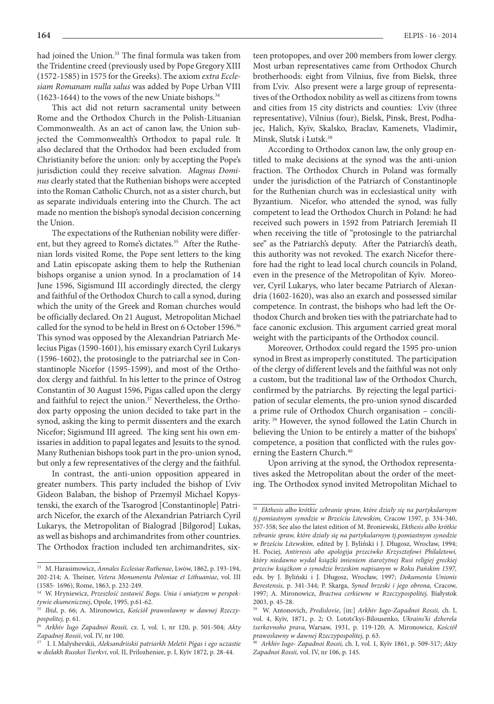had joined the Union.<sup>33</sup> The final formula was taken from the Tridentine creed (previously used by Pope Gregory XIII (1572-1585) in 1575 for the Greeks). The axiom *extra Ecclesiam Romanam nulla salus* was added by Pope Urban VIII (1623-1644) to the vows of the new Uniate bishops. $34$ 

This act did not return sacramental unity between Rome and the Orthodox Church in the Polish-Lituanian Commonwealth. As an act of canon law, the Union subjected the Commonwealth's Orthodox to papal rule. It also declared that the Orthodox had been excluded from Christianity before the union: only by accepting the Pope's jurisdiction could they receive salvation. *Magnus Dominus* clearly stated that the Ruthenian bishops were accepted into the Roman Catholic Church, not as a sister church, but as separate individuals entering into the Church. The act made no mention the bishop's synodal decision concerning the Union.

The expectations of the Ruthenian nobility were different, but they agreed to Rome's dictates.<sup>35</sup> After the Ruthenian lords visited Rome, the Pope sent letters to the king and Latin episcopate asking them to help the Ruthenian bishops organise a union synod. In a proclamation of 14 June 1596, Sigismund III accordingly directed, the clergy and faithful of the Orthodox Church to call a synod, during which the unity of the Greek and Roman churches would be officially declared. On 21 August, Metropolitan Michael called for the synod to be held in Brest on 6 October 1596.<sup>36</sup> This synod was opposed by the Alexandrian Patriarch Melecius Pigas (1590-1601), his emissary exarch Cyril Lukarys (1596-1602), the protosingle to the patriarchal see in Constantinople Nicefor (1595-1599), and most of the Orthodox clergy and faithful. In his letter to the prince of Ostrog Constantin of 30 August 1596, Pigas called upon the clergy and faithful to reject the union.<sup>37</sup> Nevertheless, the Orthodox party opposing the union decided to take part in the synod, asking the king to permit dissenters and the exarch Nicefor; Sigismund III agreed. The king sent his own emissaries in addition to papal legates and Jesuits to the synod. Many Ruthenian bishops took part in the pro-union synod, but only a few representatives of the clergy and the faithful.

In contrast, the anti-union opposition appeared in greater numbers. This party included the bishop of L'viv Gideon Balaban, the bishop of Przemyśl Michael Kopystenski, the exarch of the Tsarogrod [Constantinople] Patriarch Nicefor, the exarch of the Alexandrian Patriarch Cyril Lukarys, the Metropolitan of Bialograd [Bilgorod] Lukas, as well as bishops and archimandrites from other countries. The Orthodox fraction included ten archimandrites, six-

teen protopopes, and over 200 members from lower clergy. Most urban representatives came from Orthodox Church brotherhoods: eight from Vilnius, five from Bielsk, three from L'viv. Also present were a large group of representatives of the Orthodox nobility as well as citizens from towns and cities from 15 city districts and counties: L'viv (three representative), Vilnius (four), Bielsk, Pinsk, Brest, Podhajec, Halich, Kyïv, Skalsko, Braclav, Kamenets, Vladimir**,**  Minsk, Slutsk i Lutsk.38

According to Orthodox canon law, the only group entitled to make decisions at the synod was the anti-union fraction. The Orthodox Church in Poland was formally under the jurisdiction of the Patriarch of Constantinople for the Ruthenian church was in ecclesiastical unity with Byzantium. Nicefor, who attended the synod, was fully competent to lead the Orthodox Church in Poland: he had received such powers in 1592 from Patriarch Jeremiah II when receiving the title of "protosingle to the patriarchal see" as the Patriarch's deputy. After the Patriarch's death, this authority was not revoked. The exarch Nicefor therefore had the right to lead local church councils in Poland, even in the presence of the Metropolitan of Kyïv. Moreover, Cyril Lukarys, who later became Patriarch of Alexandria (1602-1620), was also an exarch and possessed similar competence. In contrast, the bishops who had left the Orthodox Church and broken ties with the patriarchate had to face canonic exclusion. This argument carried great moral weight with the participants of the Orthodox council.

Moreover, Orthodox could regard the 1595 pro-union synod in Brest as improperly constituted. The participation of the clergy of different levels and the faithful was not only a custom, but the traditional law of the Orthodox Church, confirmed by the patriarchs. By rejecting the legal participation of secular elements, the pro-union synod discarded a prime rule of Orthodox Church organisation – conciliarity. 39 However, the synod followed the Latin Church in believing the Union to be entirely a matter of the bishops' competence, a position that conflicted with the rules governing the Eastern Church.<sup>40</sup>

Upon arriving at the synod, the Orthodox representatives asked the Metropolitan about the order of the meeting. The Orthodox synod invited Metropolitan Michael to

<sup>33</sup> M. Harasimowicz, *Annales Ecclesiae Ruthenae*, Lwów, 1862, p. 193-194, 202-214; A. Theiner, *Vetera Monumenta Poloniae et Lithuaniae*, vol. III (1585- 1696), Rome, 1863, p. 232-249.

<sup>34</sup> W. Hryniewicz, *Przeszłość zostawić Bogu. Unia i uniatyzm w perspektywie ekumenicznej*, Opole, 1995, p.61-62.

<sup>35</sup> *Ibid*, p. 66; A. Mironowicz, *Kościół prawosławny w dawnej Rzeczypospolitej,* p. 61.

<sup>36</sup> *Arkhiv Iugo Zapadnoi Rossii,* cz. I, vol. 1, nr 120, p. 501-504; *Akty Zapadnoj Rossii*, vol. IV, nr 100.

<sup>37</sup> . I. I. Malyshevskii, *Aleksandriiskii patriarkh Meletii Pigas i ego uczastie w dielakh Russkoi Tserkvi*, vol. II, Prilozheniee, p. I, Kyïv 1872, p. 28-44.

<sup>38</sup> *Ekthesis albo krótkie zebranie spraw, które działy się na partykularnym tj.pomiastnym synodzie w Brześciu Litewskim,* Cracow 1597, p. 334-340, 357-358; See also the latest edition of M. Broniewski, *Ekthesis albo krótkie zebranie spraw, które działy się na partykularnym tj.pomiastnym synodzie w Brześciu Litewskim,* edited by J. Byliński i J. Długosz, Wrocław, 1994; H. Pociej, *Antirresis abo apologija przeciwko Krzysztofowi Philaletowi, który niedawno wydał książki imieniem starożytnej Rusi religiej greckiej przeciw książkom o synodzie brzeskim napisanym w Roku Pańskim 1597,*  eds. by J. Byliński i J. Długosz, Wrocław, 1997; *Dokumenta Unionis Berestensis,* p. 341-344; P. Skarga, *Synod brzeski i jego obrona,* Cracow, 1997; A. Mironowicz, *Bractwa cerkiewne w Rzeczypospolitej,* Białystok 2003, p. 45-28.

<sup>39</sup> W. Antonovich, *Predislovie*, [in:] *Arkhiv Iugo-Zapadnoi Rossii,* ch. I, vol. 4, Kyïv, 1871, p. 2; O. Lotots'kyi-Bilousenko, *Ukrains'ki dzherela tserkovnoho prava,* Warsaw, 1931, p. 119-120; A. Mironowicz, *Kościół prawosławny w dawnej Rzeczypospolitej,* p. 63.

<sup>40</sup> *Arkhiv Iugo- Zapadnoi Rossii,* ch. I, vol. 1, Kyïv 1861, p. 509-517; *Akty Zapadnoi Rossii,* vol. IV, nr 106, p. 145.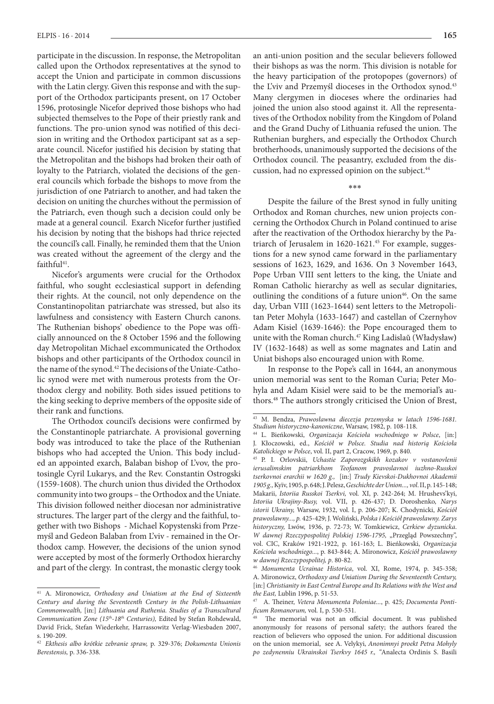participate in the discussion. In response, the Metropolitan called upon the Orthodox representatives at the synod to accept the Union and participate in common discussions with the Latin clergy. Given this response and with the support of the Orthodox participants present, on 17 October 1596, protosingle Nicefor deprived those bishops who had subjected themselves to the Pope of their priestly rank and functions. The pro-union synod was notified of this decision in writing and the Orthodox participant sat as a separate council. Nicefor justified his decision by stating that the Metropolitan and the bishops had broken their oath of loyalty to the Patriarch, violated the decisions of the general councils which forbade the bishops to move from the jurisdiction of one Patriarch to another, and had taken the decision on uniting the churches without the permission of the Patriarch, even though such a decision could only be made at a general council. Exarch Nicefor further justified his decision by noting that the bishops had thrice rejected the council's call. Finally, he reminded them that the Union was created without the agreement of the clergy and the faithful<sup>41</sup>.

Nicefor's arguments were crucial for the Orthodox faithful, who sought ecclesiastical support in defending their rights. At the council, not only dependence on the Constantinopolitan patriarchate was stressed, but also its lawfulness and consistency with Eastern Church canons. The Ruthenian bishops' obedience to the Pope was officially announced on the 8 October 1596 and the following day Metropolitan Michael excommunicated the Orthodox bishops and other participants of the Orthodox council in the name of the synod.42 The decisions of the Uniate-Catholic synod were met with numerous protests from the Orthodox clergy and nobility. Both sides issued petitions to the king seeking to deprive members of the opposite side of their rank and functions.

The Orthodox council's decisions were confirmed by the Constantinople patriarchate. A provisional governing body was introduced to take the place of the Ruthenian bishops who had accepted the Union. This body included an appointed exarch, Balaban bishop of L'vov, the protosingle Cyril Lukarys, and the Rev. Constantin Ostrogski (1559-1608). The church union thus divided the Orthodox community into two groups – the Orthodox and the Uniate. This division followed neither diocesan nor administrative structures. The larger part of the clergy and the faithful, together with two Bishops - Michael Kopystenski from Przemyśl and Gedeon Balaban from L'viv - remained in the Orthodox camp. However, the decisions of the union synod were accepted by most of the formerly Orthodox hierarchy and part of the clergy. In contrast, the monastic clergy took

an anti-union position and the secular believers followed their bishops as was the norm. This division is notable for the heavy participation of the protopopes (governors) of the L'viv and Przemyśl dioceses in the Orthodox synod.<sup>43</sup> Many clergymen in dioceses where the ordinaries had joined the union also stood against it. All the representatives of the Orthodox nobility from the Kingdom of Poland and the Grand Duchy of Lithuania refused the union. The Ruthenian burghers, and especially the Orthodox Church brotherhoods, unanimously supported the decisions of the Orthodox council. The peasantry, excluded from the discussion, had no expressed opinion on the subject.<sup>44</sup>

\*\*\*

Despite the failure of the Brest synod in fully uniting Orthodox and Roman churches, new union projects concerning the Orthodox Church in Poland continued to arise after the reactivation of the Orthodox hierarchy by the Patriarch of Jerusalem in 1620-1621.45 For example, suggestions for a new synod came forward in the parliamentary sessions of 1623, 1629, and 1636. On 3 November 1643, Pope Urban VIII sent letters to the king, the Uniate and Roman Catholic hierarchy as well as secular dignitaries, outlining the conditions of a future union $46$ . On the same day, Urban VIII (1623-1644) sent letters to the Metropolitan Peter Mohyla (1633-1647) and castellan of Czernyhov Adam Kisiel (1639-1646): the Pope encouraged them to unite with the Roman church.47 King Ladislaŭ (Władysław**)** IV (1632-1648) as well as some magnates and Latin and Uniat bishops also encouraged union with Rome.

In response to the Pope's call in 1644, an anonymous union memorial was sent to the Roman Curia; Peter Mohyla and Adam Kisiel were said to be the memorial's authors.48 The authors strongly criticised the Union of Brest,

<sup>41</sup> A. Mironowicz, *Orthodoxy and Uniatism at the End of Sixteenth Century and during the Seventeenth Century in the Polish-Lithuanian Commonwealth,* [in:] *Lithuania and Ruthenia. Studies of a Transcultural Communication Zone (15th-18th Centuries),* Edited by Stefan Rohdewald, David Frick, Stefan Wiederkehr, Harrassowitz Verlag-Wiesbaden 2007, s. 190-209.

<sup>42</sup> *Ekthesis albo krótkie zebranie spraw,* p. 329-376; *Dokumenta Unionis Berestensis,* p. 336-338.

<sup>43</sup> M. Bendza, *Prawosławna diecezja przemyska w latach 1596-1681. Studium historyczno-kanoniczne*, Warsaw, 1982, p. 108-118.

<sup>44</sup> L. Bieńkowski, *Organizacja Kościoła wschodniego w Polsce*, [in:] J. Kłoczowski, ed., *Kościół w Polsce. Studia nad historią Kościoła Katolickiego w Polsce*, vol. II, part 2, Cracow, 1969, p. 840.

<sup>45</sup> P. I. Orlovskii, *Uchastie Zaporozgskikh kozakov v vostanovlenii ierusalimskim patriarkhom Teofanom pravoslavnoi iuzhno-Russkoi tserkovnoi erarchii w 1620 g.,* [in:] *Trudy Kievskoi-Dukhovnoi Akademii 1905 g.,* Kyïv, 1905, p. 648; J. Pelesz, *Geschichte der Union..., vol*. II, p. 145-148; Makarii, *Istoriia Russkoi Tserkvi,* vol*.* XI, p. 242-264; M. Hrushevs'kyi, *Istoriia Ukrajiny-Rusy,* vol. VII, p. 426-437; D. Doroshenko, *Narys istorii Ukrainy,* Warsaw, 1932, vol. I, p. 206-207; K. Chodynicki, *Kościół prawosławny..., p.* 425-429; J. Woliński, *Polska i Kościół prawosławny. Zarys historyczny,* Lwów, 1936, p. 72-73; W. Tomkiewicz, *Cerkiew dyzunicka*. *W dawnej Rzeczypospolitej Polskiej 1596-1795, "Przegląd Powszechny",* vol. CIC, Kraków 1921-1922, p. 161-163; L. Bieńkowski, *Organizacja Kościoła wschodniego...*, p. 843-844; A. Mironowicz, *Kościół prawosławny w dawnej Rzeczypospolitej, p*. 80-82.

<sup>46</sup> *Monumenta Ucrainae Historica*, vol. XI, Rome, 1974, p. 345-358; A. Mironowicz, *Orthodoxy and Uniatism During the Seventeenth Century,*  [in:] Christianity in East Central Europe and Its Relations with the West and *the East,* Lublin 1996, p. 51-53.

<sup>47</sup> A. Theiner, *Vetera Monumenta Poloniae...*, p. 425; *Documenta Pontificum Romanorum,* vol*.* I, p. 530-531.

The memorial was not an official document. It was published anonymously for reasons of personal safety; the authors feared the reaction of believers who opposed the union. For additional discussion on the union memorial, see A. Velykyi, *Anonimnyi proekt Petra Mohyly po zedynenniu Ukrainskoi Tserkvy 1645 r., "*Analecta Ordinis S. Basili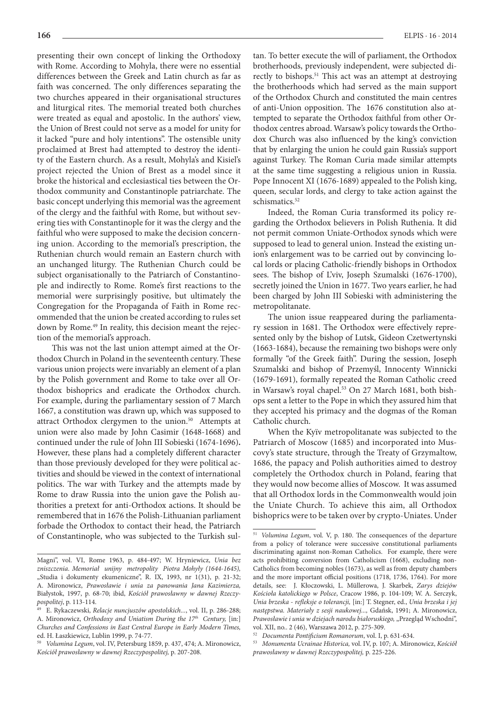presenting their own concept of linking the Orthodoxy with Rome. According to Mohyla, there were no essential differences between the Greek and Latin church as far as faith was concerned. The only differences separating the two churches appeared in their organisational structures and liturgical rites. The memorial treated both churches were treated as equal and apostolic. In the authors' view, the Union of Brest could not serve as a model for unity for it lacked "pure and holy intentions". The ostensible unity proclaimed at Brest had attempted to destroy the identity of the Eastern church. As a result, Mohyla's and Kisiel's project rejected the Union of Brest as a model since it broke the historical and ecclesiastical ties between the Orthodox community and Constantinople patriarchate. The basic concept underlying this memorial was the agreement of the clergy and the faithful with Rome, but without severing ties with Constantinople for it was the clergy and the faithful who were supposed to make the decision concerning union. According to the memorial's prescription, the Ruthenian church would remain an Eastern church with an unchanged liturgy. The Ruthenian Church could be subject organisationally to the Patriarch of Constantinople and indirectly to Rome. Rome's first reactions to the memorial were surprisingly positive, but ultimately the Congregation for the Propaganda of Faith in Rome recommended that the union be created according to rules set down by Rome.49 In reality, this decision meant the rejection of the memorial's approach.

This was not the last union attempt aimed at the Orthodox Church in Poland in the seventeenth century. These various union projects were invariably an element of a plan by the Polish government and Rome to take over all Orthodox bishoprics and eradicate the Orthodox church. For example, during the parliamentary session of 7 March 1667, a constitution was drawn up, which was supposed to attract Orthodox clergymen to the union.<sup>50</sup> Attempts at union were also made by John Casimir (1648-1668) and continued under the rule of John III Sobieski (1674-1696)**.** However, these plans had a completely different character than those previously developed for they were political activities and should be viewed in the context of international politics. The war with Turkey and the attempts made by Rome to draw Russia into the union gave the Polish authorities a pretext for anti-Orthodox actions. It should be remembered that in 1676 the Polish-Lithuanian parliament forbade the Orthodox to contact their head, the Patriarch of Constantinople, who was subjected to the Turkish sul-

tan. To better execute the will of parliament, the Orthodox brotherhoods, previously independent, were subjected directly to bishops.<sup>51</sup> This act was an attempt at destroying the brotherhoods which had served as the main support of the Orthodox Church and constituted the main centres of anti-Union opposition. The 1676 constitution also attempted to separate the Orthodox faithful from other Orthodox centres abroad. Warsaw's policy towards the Orthodox Church was also influenced by the king's conviction that by enlarging the union he could gain Russia's support against Turkey. The Roman Curia made similar attempts at the same time suggesting a religious union in Russia. Pope Innocent XI (1676-1689) appealed to the Polish king, queen, secular lords, and clergy to take action against the schismatics.<sup>52</sup>

Indeed, the Roman Curia transformed its policy regarding the Orthodox believers in Polish Ruthenia. It did not permit common Uniate-Orthodox synods which were supposed to lead to general union. Instead the existing union's enlargement was to be carried out by convincing local lords or placing Catholic-friendly bishops in Orthodox sees. The bishop of L'viv, Joseph Szumalski (1676-1700), secretly joined the Union in 1677. Two years earlier, he had been charged by John III Sobieski with administering the metropolitanate.

The union issue reappeared during the parliamentary session in 1681. The Orthodox were effectively represented only by the bishop of Lutsk, Gideon Czetwertynski (1663-1684), because the remaining two bishops were only formally "of the Greek faith". During the session, Joseph Szumalski and bishop of Przemyśl, Innocenty Winnicki (1679-1691), formally repeated the Roman Catholic creed in Warsaw's royal chapel.<sup>53</sup> On 27 March 1681, both bishops sent a letter to the Pope in which they assured him that they accepted his primacy and the dogmas of the Roman Catholic church.

When the Kyïv metropolitanate was subjected to the Patriarch of Moscow (1685) and incorporated into Muscovy's state structure, through the Treaty of Grzymaltow, 1686, the papacy and Polish authorities aimed to destroy completely the Orthodox church in Poland, fearing that they would now become allies of Moscow. It was assumed that all Orthodox lords in the Commonwealth would join the Uniate Church. To achieve this aim, all Orthodox bishoprics were to be taken over by crypto-Uniates. Under

Magni", vol. VI, Rome 1963, p. 484-497; W. Hryniewicz, *Unia bez zniszczenia*. *Memoriał unijny metropolity Piotra Mohyły (1644-1645),*  "Studia i dokumenty ekumeniczne", R. IX, 1993, nr 1(31), p. 21-32; A. Mironowicz, *Prawosławie i unia za panowania Jana Kazimierza,*  Białystok, 1997, p. 68-70; ibid, *Kościół prawosławny w dawnej Rzeczypospolitej*, p. 113-114.

<sup>49</sup> E. Rykaczewski, *Relacje nuncjuszów apostolskich...*, vol. II, p. 286-288; A. Mironowicz, *Orthodoxy and Uniatism During the 17th Century,* [in:] *Churches and Confessions in East Central Europe in Early Modern Times,*  ed. H. Łaszkiewicz, Lublin 1999, p. 74-77.

<sup>50</sup> *Volumina Legum*, vol. IV, Petersburg 1859, p. 437, 474; A. Mironowicz, *Kościół prawosławny w dawnej Rzeczypospolitej,* p. 207-208.

<sup>51</sup> *Volumina Legum*, vol. V, p. 180. The consequences of the departure from a policy of tolerance were successive constitutional parliaments discriminating against non-Roman Catholics. For example, there were acts prohibiting conversion from Catholicism (1668), excluding non-Catholics from becoming nobles (1673), as well as from deputy chambers and the more important official positions (1718, 1736, 1764). For more details, see: J. Kłoczowski, L. Müllerowa, J. Skarbek, *Zarys dziejów Kościoła katolickiego w Polsce*, Cracow 1986, p. 104-109; W. A. Serczyk, *Unia brzeska - refleksje o tolerancji,* [in:] T. Stegner, ed., *Unia brzeska i jej następstwa. Materiały z sesji naukowej...,* Gdańsk, 1991; A. Mironowicz, Prawosławie i unia w dziejach narodu białoruskiego, "Przegląd Wschodni", vol. XII, no.. 2 (46), Warszawa 2012, p. 275-309.

<sup>52</sup> *Documenta Pontificium Romanorum*, vol. I, p. 631-634.

<sup>53</sup> *Monumenta Ucrainae Historica,* vol. IV, p. 107; A. Mironowicz, *Kościół prawosławny w dawnej Rzeczypospolitej,* p. 225-226.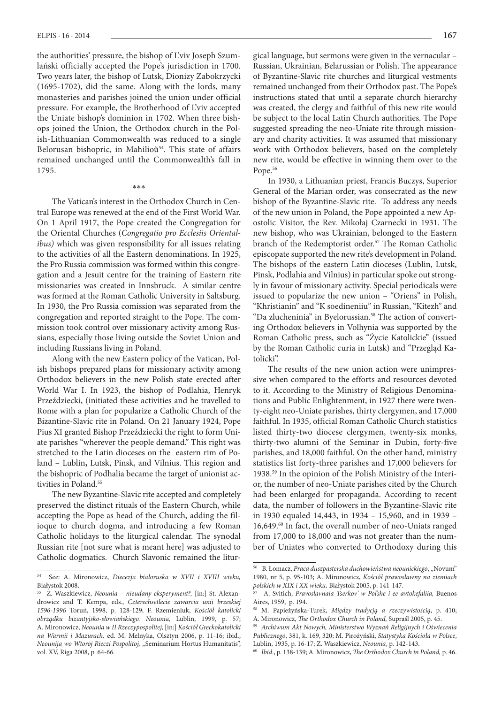the authorities' pressure, the bishop of L'viv Joseph Szumlański officially accepted the Pope's jurisdiction in 1700. Two years later, the bishop of Lutsk, Dionizy Zabokrzycki (1695-1702), did the same. Along with the lords, many monasteries and parishes joined the union under official pressure. For example, the Brotherhood of L'viv accepted the Uniate bishop's dominion in 1702. When three bishops joined the Union, the Orthodox church in the Polish-Lithuanian Commonwealth was reduced to a single Belorusan bishopric, in Mahilioŭ<sup>54</sup>. This state of affairs remained unchanged until the Commonwealth's fall in 1795.

\*\*\*

The Vatican's interest in the Orthodox Church in Central Europe was renewed at the end of the First World War. On 1 April 1917, the Pope created the Congregation for the Oriental Churches (*Congregatio pro Ecclesiis Orientalibus)* which was given responsibility for all issues relating to the activities of all the Eastern denominations. In 1925, the Pro Russia commission was formed within this congregation and a Jesuit centre for the training of Eastern rite missionaries was created in Innsbruck. A similar centre was formed at the Roman Catholic University in Saltsburg. In 1930, the Pro Russia comission was separated from the congregation and reported straight to the Pope. The commission took control over missionary activity among Russians, especially those living outside the Soviet Union and including Russians living in Poland.

Along with the new Eastern policy of the Vatican, Polish bishops prepared plans for missionary activity among Orthodox believers in the new Polish state erected after World War I. In 1923, the bishop of Podlahia, Henryk Przeździecki, (initiated these activities and he travelled to Rome with a plan for popularize a Catholic Church of the Bizantine-Slavic rite in Poland. On 21 January 1924, Pope Pius XI granted Bishop Przeździecki the right to form Uniate parishes "wherever the people demand." This right was stretched to the Latin dioceses on the eastern rim of Poland – Lublin**,** Lutsk, Pinsk, and Vilnius. This region and the bishopric of Podhalia became the target of unionist activities in Poland.<sup>55</sup>

The new Byzantine-Slavic rite accepted and completely preserved the distinct rituals of the Eastern Church, while accepting the Pope as head of the Church, adding the filioque to church dogma, and introducing a few Roman Catholic holidays to the liturgical calendar. The synodal Russian rite [not sure what is meant here] was adjusted to Catholic dogmatics. Church Slavonic remained the litur-

gical language, but sermons were given in the vernacular – Russian, Ukrainian, Belarussian or Polish. The appearance of Byzantine-Slavic rite churches and liturgical vestments remained unchanged from their Orthodox past. The Pope's instructions stated that until a separate church hierarchy was created, the clergy and faithful of this new rite would be subject to the local Latin Church authorities. The Pope suggested spreading the neo-Uniate rite through missionary and charity activities. It was assumed that missionary work with Orthodox believers, based on the completely new rite, would be effective in winning them over to the Pope.<sup>56</sup>

In 1930, a Lithuanian priest, Francis Buczys, Superior General of the Marian order, was consecrated as the new bishop of the Byzantine-Slavic rite. To address any needs of the new union in Poland, the Pope appointed a new Apostolic Visitor, the Rev. Mikołaj Czarnecki in 1931. The new bishop, who was Ukrainian, belonged to the Eastern branch of the Redemptorist order.<sup>57</sup> The Roman Catholic episcopate supported the new rite's development in Poland. The bishops of the eastern Latin dioceses (Lublin, Lutsk, Pinsk, Podlahia and Vilnius) in particular spoke out strongly in favour of missionary activity. Special periodicals were issued to popularize the new union – "Oriens" in Polish, "Khristianin" and "K soedineniiu" in Russian, "Kitezh" and "Da zlucheninia" in Byelorussian.58 The action of converting Orthodox believers in Volhynia was supported by the Roman Catholic press, such as "Życie Katolickie" (issued by the Roman Catholic curia in Lutsk) and "Przegląd Katolicki".

The results of the new union action were unimpressive when compared to the efforts and resources devoted to it. According to the Ministry of Religious Denominations and Public Enlightenment, in 1927 there were twenty-eight neo-Uniate parishes, thirty clergymen, and 17,000 faithful. In 1935, official Roman Catholic Church statistics listed thirty-two diocese clergymen, twenty-six monks, thirty-two alumni of the Seminar in Dubin, forty-five parishes, and 18,000 faithful. On the other hand, ministry statistics list forty-three parishes and 17,000 believers for 1938.59 In the opinion of the Polish Ministry of the Interior, the number of neo-Uniate parishes cited by the Church had been enlarged for propaganda. According to recent data, the number of followers in the Byzantine-Slavic rite in 1930 equaled 14,443, in 1934 – 15,960, and in 1939 – 16,649.<sup>60</sup> In fact, the overall number of neo-Uniats ranged from 17,000 to 18,000 and was not greater than the number of Uniates who converted to Orthodoxy during this

<sup>54</sup> See: A. Mironowicz, *Diecezja białoruska w XVII i XVIII wieku,*  Białystok 2008.

<sup>55</sup> Z. Waszkiewicz, *Neounia – nieudany eksperyment?,* [in:] St. Alexandrowicz and T. Kempa, eds., *Czterechsetlecie zawarcia unii brzeskiej 1596-1996* Toruń, 1998, p. 128-129; F. Rzemieniuk, *Kościół katolicki obrządku bizantyjsko-słowiańskiego. Neounia,* Lublin, 1999, p. 57; A. Mironowicz, *Neounia w II Rzeczypospolitej,* [in:] *Kościół Greckokatolicki na Warmii i Mazurach,* ed. M. Melnyka, Olsztyn 2006, p. 11-16; ibid., *Neounija wo Wtoroj Rieczi Pospolitoj,* "Seminarium Hortus Humanitatis", vol. XV, Riga 2008, p. 64-66.

<sup>56</sup> B. Łomacz, *Praca duszpasterska duchowieństwa neounickiego*, "Novum" 1980, nr 5, p. 95-103; A. Mironowicz, *Kościół prawosławny na ziemiach polskich w XIX i XX wieku,* Białystok 2005, p. 141-147.

<sup>57</sup> A. Svitich, *Pravoslavnaia Tserkov' w Pol'she i ee avtokefaliia,* Buenos Aires, 1959, p. 194.

<sup>58</sup> M. Papieżyńska-Turek, *Między tradycją a rzeczywistością*, p. 410; A. Mironowicz, *The Orthodox Church in Poland,* Supraśl 2005, p. 45.

<sup>59</sup> *Archiwum Akt Nowych, Ministerstwo Wyznań Religijnych i Oświecenia Publicznego*, 381, k. 169, 320; M. Pirożyński, *Statystyka Kościoła w Polsce*, Lublin, 1935, p. 16-17; Z. Waszkiewicz, *Neounia*, p. 142-143.

<sup>60</sup> *Ibid*., p. 138-139; A. Mironowicz, *The Orthodox Church in Poland,* p. 46.